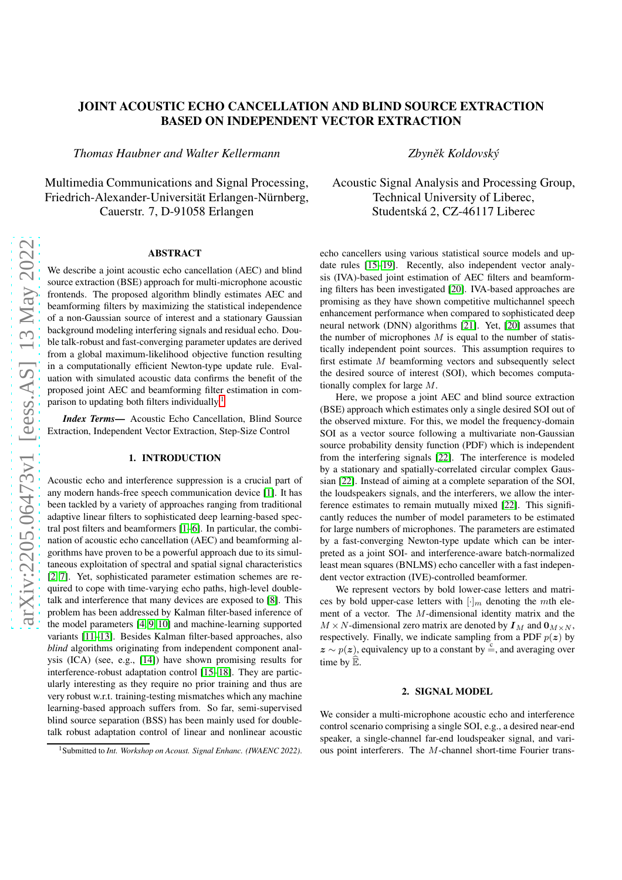# JOINT ACOUSTIC ECHO CANCELLATION AND BLIND SOURCE EXTRACTION BASED ON INDEPENDENT VECTOR EXTRACTION

*Thomas Haubner and Walter Kellermann*

Multimedia Communications and Signal Processing, Friedrich-Alexander-Universität Erlangen-Nürnberg, Cauerstr. 7, D-91058 Erlangen

## ABSTRACT

arXiv:2205.06473v1 [eess.AS] 13 May 2022 [arXiv:2205.06473v1 \[eess.AS\] 13 May 2022](http://arxiv.org/abs/2205.06473v1)

We describe a joint acoustic echo cancellation (AEC) and blind source extraction (BSE) approach for multi-microphone acoustic frontends. The proposed algorithm blindly estimates AEC and beamforming filters by maximizing the statistical independence of a non-Gaussian source of interest and a stationary Gaussian background modeling interfering signals and residual echo. Double talk-robust and fast-converging parameter updates are derived from a global maximum-likelihood objective function resulting in a computationally efficient Newton-type update rule. Evaluation with simulated acoustic data confirms the benefit of the proposed joint AEC and beamforming filter estimation in com-parison to updating both filters individually.<sup>[1](#page-0-0)</sup>

*Index Terms*— Acoustic Echo Cancellation, Blind Source Extraction, Independent Vector Extraction, Step-Size Control

## 1. INTRODUCTION

Acoustic echo and interference suppression is a crucial part of any modern hands-free speech communication device [\[1\]](#page-4-0). It has been tackled by a variety of approaches ranging from traditional adaptive linear filters to sophisticated deep learning-based spectral post filters and beamformers [\[1–](#page-4-0)[6\]](#page-4-1). In particular, the combination of acoustic echo cancellation (AEC) and beamforming algorithms have proven to be a powerful approach due to its simultaneous exploitation of spectral and spatial signal characteristics [\[2,](#page-4-2) [7\]](#page-4-3). Yet, sophisticated parameter estimation schemes are required to cope with time-varying echo paths, high-level doubletalk and interference that many devices are exposed to [\[8\]](#page-4-4). This problem has been addressed by Kalman filter-based inference of the model parameters [\[4,](#page-4-5) [9,](#page-4-6) [10\]](#page-4-7) and machine-learning supported variants [\[11](#page-4-8)[–13\]](#page-4-9). Besides Kalman filter-based approaches, also *blind* algorithms originating from independent component analysis (ICA) (see, e.g., [\[14\]](#page-4-10)) have shown promising results for interference-robust adaptation control [\[15](#page-4-11)[–18\]](#page-4-12). They are particularly interesting as they require no prior training and thus are very robust w.r.t. training-testing mismatches which any machine learning-based approach suffers from. So far, semi-supervised blind source separation (BSS) has been mainly used for doubletalk robust adaptation control of linear and nonlinear acoustic *Zbynˇek Koldovský*

# Acoustic Signal Analysis and Processing Group, Technical University of Liberec, Studentská 2, CZ-46117 Liberec

echo cancellers using various statistical source models and update rules [\[15–](#page-4-11)[19\]](#page-4-13). Recently, also independent vector analysis (IVA)-based joint estimation of AEC filters and beamforming filters has been investigated [\[20\]](#page-4-14). IVA-based approaches are promising as they have shown competitive multichannel speech enhancement performance when compared to sophisticated deep neural network (DNN) algorithms [\[21\]](#page-4-15). Yet, [\[20\]](#page-4-14) assumes that the number of microphones  $M$  is equal to the number of statistically independent point sources. This assumption requires to first estimate M beamforming vectors and subsequently select the desired source of interest (SOI), which becomes computationally complex for large M.

Here, we propose a joint AEC and blind source extraction (BSE) approach which estimates only a single desired SOI out of the observed mixture. For this, we model the frequency-domain SOI as a vector source following a multivariate non-Gaussian source probability density function (PDF) which is independent from the interfering signals [\[22\]](#page-4-16). The interference is modeled by a stationary and spatially-correlated circular complex Gaussian [\[22\]](#page-4-16). Instead of aiming at a complete separation of the SOI, the loudspeakers signals, and the interferers, we allow the interference estimates to remain mutually mixed [\[22\]](#page-4-16). This significantly reduces the number of model parameters to be estimated for large numbers of microphones. The parameters are estimated by a fast-converging Newton-type update which can be interpreted as a joint SOI- and interference-aware batch-normalized least mean squares (BNLMS) echo canceller with a fast independent vector extraction (IVE)-controlled beamformer.

We represent vectors by bold lower-case letters and matrices by bold upper-case letters with  $[\cdot]_m$  denoting the mth element of a vector. The M-dimensional identity matrix and the  $M \times N$ -dimensional zero matrix are denoted by  $I_M$  and  $0_{M \times N}$ , respectively. Finally, we indicate sampling from a PDF  $p(z)$  by  $z \sim p(z)$ , equivalency up to a constant by  $\stackrel{c}{=}$ , and averaging over time by  $\widehat{\mathbb{E}}$ .

#### 2. SIGNAL MODEL

<span id="page-0-1"></span>We consider a multi-microphone acoustic echo and interference control scenario comprising a single SOI, e.g., a desired near-end speaker, a single-channel far-end loudspeaker signal, and various point interferers. The M-channel short-time Fourier trans-

<span id="page-0-0"></span><sup>1</sup>Submitted to *Int. Workshop on Acoust. Signal Enhanc. (IWAENC 2022)*.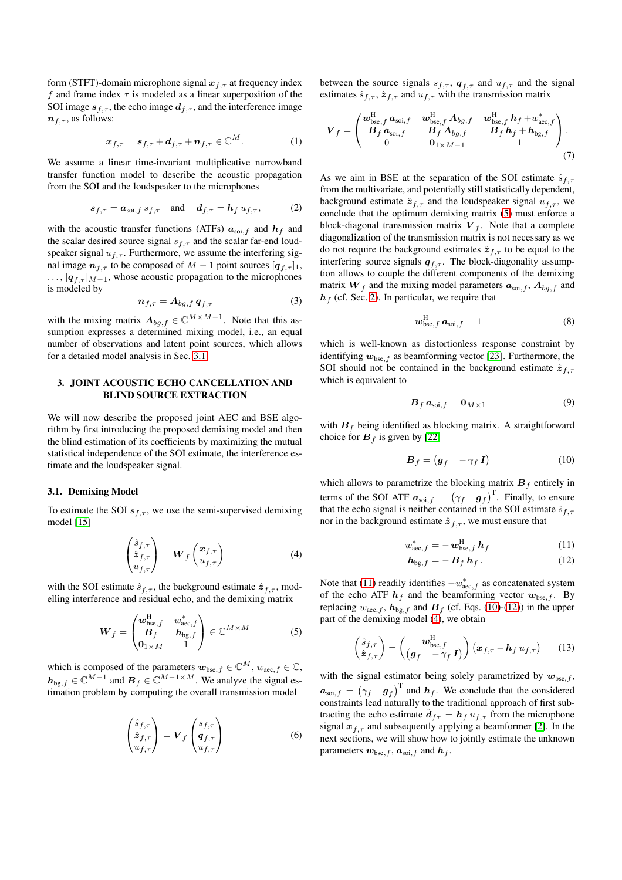form (STFT)-domain microphone signal  $x_{f,\tau}$  at frequency index f and frame index  $\tau$  is modeled as a linear superposition of the SOI image  $s_{f,\tau}$ , the echo image  $d_{f,\tau}$ , and the interference image  $n_{f,\tau}$ , as follows:

$$
\boldsymbol{x}_{f,\tau} = \boldsymbol{s}_{f,\tau} + \boldsymbol{d}_{f,\tau} + \boldsymbol{n}_{f,\tau} \in \mathbb{C}^{M}.
$$
 (1)

We assume a linear time-invariant multiplicative narrowband transfer function model to describe the acoustic propagation from the SOI and the loudspeaker to the microphones

$$
s_{f,\tau} = a_{\text{soi},f} s_{f,\tau} \quad \text{and} \quad d_{f,\tau} = h_f u_{f,\tau}, \tag{2}
$$

with the acoustic transfer functions (ATFs)  $a_{\text{soi},f}$  and  $h_f$  and the scalar desired source signal  $s_{f,\tau}$  and the scalar far-end loudspeaker signal  $u_{f,\tau}$ . Furthermore, we assume the interfering signal image  $n_{f,\tau}$  to be composed of  $M-1$  point sources  $[q_{f,\tau}]_1$ ,  $\ldots$ , [ $q_{f,\tau}$ ] $_{M-1}$ , whose acoustic propagation to the microphones is modeled by

$$
\boldsymbol{n}_{f,\tau} = \boldsymbol{A}_{bg,f} \, \boldsymbol{q}_{f,\tau} \tag{3}
$$

with the mixing matrix  $A_{bg,f} \in \mathbb{C}^{M \times M-1}$ . Note that this assumption expresses a determined mixing model, i.e., an equal number of observations and latent point sources, which allows for a detailed model analysis in Sec. [3.1.](#page-1-0)

## 3. JOINT ACOUSTIC ECHO CANCELLATION AND BLIND SOURCE EXTRACTION

We will now describe the proposed joint AEC and BSE algorithm by first introducing the proposed demixing model and then the blind estimation of its coefficients by maximizing the mutual statistical independence of the SOI estimate, the interference estimate and the loudspeaker signal.

#### <span id="page-1-0"></span>3.1. Demixing Model

To estimate the SOI  $s_{f,\tau}$ , we use the semi-supervised demixing model [\[15\]](#page-4-11)

$$
\begin{pmatrix} \hat{s}_{f,\tau} \\ \hat{z}_{f,\tau} \\ u_{f,\tau} \end{pmatrix} = \mathbf{W}_f \begin{pmatrix} \mathbf{x}_{f,\tau} \\ u_{f,\tau} \end{pmatrix}
$$
 (4)

with the SOI estimate  $\hat{s}_{f,\tau}$ , the background estimate  $\hat{z}_{f,\tau}$ , modelling interference and residual echo, and the demixing matrix

$$
\boldsymbol{W}_f = \begin{pmatrix} \boldsymbol{w}_{\text{bsc},f}^{\text{H}} & \boldsymbol{w}_{\text{acc},f}^* \\ \boldsymbol{B}_f & \boldsymbol{h}_{\text{bs},f} \\ \boldsymbol{0}_{1\times M} & 1 \end{pmatrix} \in \mathbb{C}^{M\times M} \tag{5}
$$

which is composed of the parameters  $w_{\text{bse},f} \in \mathbb{C}^M$ ,  $w_{\text{aec},f} \in \mathbb{C}$ ,  $h_{bg,f} \in \mathbb{C}^{M-1}$  and  $B_f \in \mathbb{C}^{M-1 \times M}$ . We analyze the signal estimation problem by computing the overall transmission model

$$
\begin{pmatrix} \hat{s}_{f,\tau} \\ \hat{z}_{f,\tau} \\ u_{f,\tau} \end{pmatrix} = \mathbf{V}_f \begin{pmatrix} s_{f,\tau} \\ \mathbf{q}_{f,\tau} \\ u_{f,\tau} \end{pmatrix}
$$
 (6)

between the source signals  $s_{f,\tau}$ ,  $q_{f,\tau}$  and  $u_{f,\tau}$  and the signal estimates  $\hat{s}_{f,\tau}$ ,  $\hat{z}_{f,\tau}$  and  $u_{f,\tau}$  with the transmission matrix

<span id="page-1-7"></span>
$$
V_f = \begin{pmatrix} w_{\text{bsc},f}^{\text{H}} & a_{\text{soi},f} & w_{\text{bsc},f}^{\text{H}} & A_{bg,f} & w_{\text{bsc},f}^{\text{H}} & h_f + w_{\text{acc},f} \\ B_f & a_{\text{soi},f} & B_f & A_{bg,f} & B_f & h_f + h_{bg,f} \\ 0 & 0 & 0_{1 \times M-1} & 1 \end{pmatrix}.
$$
\n(7)

As we aim in BSE at the separation of the SOI estimate  $\hat{s}_{f,\tau}$ from the multivariate, and potentially still statistically dependent, background estimate  $\hat{z}_{f,\tau}$  and the loudspeaker signal  $u_{f,\tau}$ , we conclude that the optimum demixing matrix [\(5\)](#page-1-1) must enforce a block-diagonal transmission matrix  $V_f$ . Note that a complete diagonalization of the transmission matrix is not necessary as we do not require the background estimates  $\hat{z}_{f,\tau}$  to be equal to the interfering source signals  $q_{f,\tau}$ . The block-diagonality assumption allows to couple the different components of the demixing matrix  $W_f$  and the mixing model parameters  $a_{\text{soi},f}$ ,  $A_{bg,f}$  and  $h_f$  (cf. Sec. [2\)](#page-0-1). In particular, we require that

$$
\boldsymbol{w}_{\text{bse},f}^{\text{H}} \, \boldsymbol{a}_{\text{soi},f} = 1 \tag{8}
$$

which is well-known as distortionless response constraint by identifying  $w_{\text{bse},f}$  as beamforming vector [\[23\]](#page-4-17). Furthermore, the SOI should not be contained in the background estimate  $\hat{z}_{f,\tau}$ which is equivalent to

$$
\boldsymbol{B}_f \, \boldsymbol{a}_{\text{soi},f} = \boldsymbol{0}_{M \times 1} \tag{9}
$$

with  $B_f$  being identified as blocking matrix. A straightforward choice for  $B_f$  is given by [\[22\]](#page-4-16)

<span id="page-1-3"></span>
$$
\boldsymbol{B}_f = \begin{pmatrix} \boldsymbol{g}_f & -\gamma_f \, \boldsymbol{I} \end{pmatrix} \tag{10}
$$

which allows to parametrize the blocking matrix  $B_f$  entirely in terms of the SOI ATF  $a_{\text{soi},f} = (\gamma_f \quad g_f)^T$ . Finally, to ensure that the echo signal is neither contained in the SOI estimate  $\hat{s}_{f,\tau}$ nor in the background estimate  $\hat{z}_{f,\tau}$ , we must ensure that

$$
w_{\text{acc},f}^* = -\,\boldsymbol{w}_{\text{bse},f}^{\text{H}}\,\boldsymbol{h}_f \tag{11}
$$

<span id="page-1-6"></span><span id="page-1-4"></span><span id="page-1-2"></span>
$$
\mathbf{h}_{\text{bg},f} = -\,\mathbf{B}_f \,\mathbf{h}_f \,. \tag{12}
$$

<span id="page-1-5"></span><span id="page-1-1"></span>Note that [\(11\)](#page-1-2) readily identifies  $-w^*_{\text{acc},f}$  as concatenated system of the echo ATF  $h_f$  and the beamforming vector  $w_{\text{bse},f}$ . By replacing  $w_{\text{acc},f}$ ,  $h_{\text{bg},f}$  and  $B_f$  (cf. Eqs. [\(10\)](#page-1-3)-[\(12\)](#page-1-4)) in the upper part of the demixing model [\(4\)](#page-1-5), we obtain

$$
\begin{pmatrix} \hat{s}_{f,\tau} \\ \hat{z}_{f,\tau} \end{pmatrix} = \begin{pmatrix} \boldsymbol{w}_{\text{bse},f}^{\text{H}} \\ (\boldsymbol{g}_f - \gamma_f \boldsymbol{I}) \end{pmatrix} (\boldsymbol{x}_{f,\tau} - \boldsymbol{h}_f \, u_{f,\tau}) \qquad (13)
$$

with the signal estimator being solely parametrized by  $w_{\text{bse},f}$ ,  $a_{\text{soi},f} = (\gamma_f \quad g_f)^{\text{T}}$  and  $h_f$ . We conclude that the considered constraints lead naturally to the traditional approach of first subtracting the echo estimate  $\hat{a}_{f\tau} = h_f u_{f,\tau}$  from the microphone signal  $x_{f,\tau}$  and subsequently applying a beamformer [\[2\]](#page-4-2). In the next sections, we will show how to jointly estimate the unknown parameters  $w_{\text{bse},f}$ ,  $a_{\text{soi},f}$  and  $h_f$ .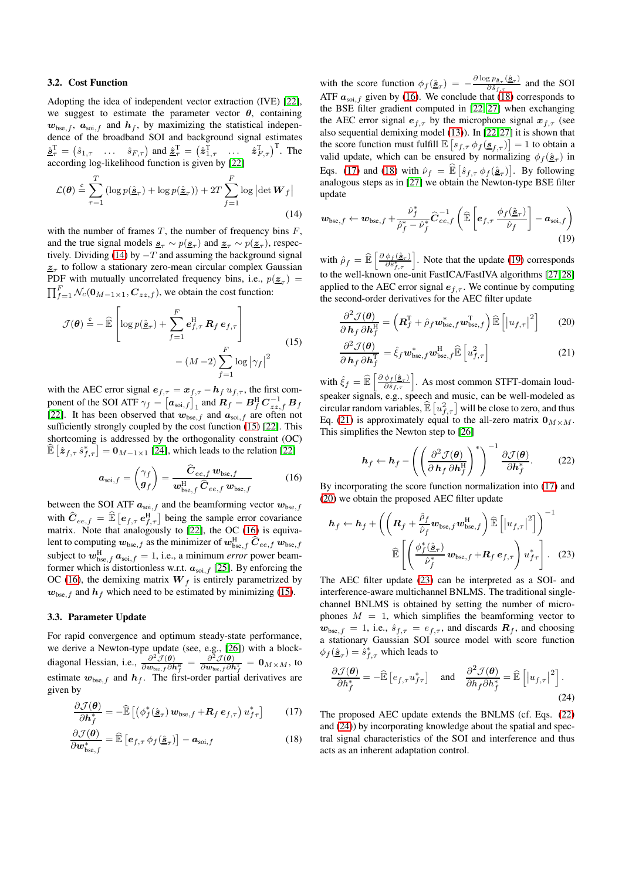#### 3.2. Cost Function

Adopting the idea of independent vector extraction (IVE) [\[22\]](#page-4-16), we suggest to estimate the parameter vector  $\theta$ , containing  $w_{\text{bse},f}$ ,  $a_{\text{soi},f}$  and  $h_f$ , by maximizing the statistical independence of the broadband SOI and background signal estimates  $\hat{\mathbf{s}}_{\tau}^{\mathrm{T}} = (\hat{s}_{1,\tau} \quad \dots \quad \hat{s}_{F,\tau})$  and  $\hat{\mathbf{z}}_{\tau}^{\mathrm{T}} = (\hat{\mathbf{z}}_{1,\tau}^{\mathrm{T}} \quad \dots \quad \hat{\mathbf{z}}_{F,\tau}^{\mathrm{T}})^{\mathrm{T}}$ . The according log-likelihood function is given by [\[22\]](#page-4-16)

$$
\mathcal{L}(\theta) \stackrel{c}{=} \sum_{\tau=1}^{T} \left( \log p(\hat{\mathbf{g}}_{\tau}) + \log p(\hat{\mathbf{z}}_{\tau}) \right) + 2T \sum_{f=1}^{F} \log \left| \det \mathbf{W}_f \right|
$$
\n(14)

with the number of frames  $T$ , the number of frequency bins  $F$ , and the true signal models  $\underline{\mathbf{s}}_{\tau} \sim p(\underline{\mathbf{s}}_{\tau})$  and  $\underline{\mathbf{z}}_{\tau} \sim p(\underline{\mathbf{z}}_{\tau})$ , respec-tively. Dividing [\(14\)](#page-2-0) by  $-T$  and assuming the background signal  $z_{\tau}$  to follow a stationary zero-mean circular complex Gaussian PDF with mutually uncorrelated frequency bins, i.e.,  $p(\underline{z}_\tau)$  =  $\prod_{f=1}^{F} \mathcal{N}_c(\mathbf{0}_{M-1\times 1}, \mathbf{C}_{zz,f})$ , we obtain the cost function:

$$
\mathcal{J}(\boldsymbol{\theta}) \stackrel{c}{=} -\widehat{\mathbb{E}} \left[ \log p(\hat{\mathbf{g}}_{\tau}) + \sum_{f=1}^{F} \mathbf{e}_{f,\tau}^{H} \mathbf{R}_{f} \mathbf{e}_{f,\tau} \right] - (M - 2) \sum_{f=1}^{F} \log |\gamma_{f}|^{2}
$$
\n(15)

with the AEC error signal  $e_{f,\tau} = x_{f,\tau} - h_f u_{f,\tau}$ , the first component of the SOI ATF  $\gamma_f = [\boldsymbol{a}_{\text{soi},f}]_1$  and  $\boldsymbol{R}_f = \boldsymbol{B}_f^{\text{H}} \boldsymbol{C}_{zz,f}^{-1} \boldsymbol{B}_f$ [\[22\]](#page-4-16). It has been observed that  $w_{\text{bse},f}$  and  $a_{\text{soi},f}$  are often not sufficiently strongly coupled by the cost function [\(15\)](#page-2-1) [\[22\]](#page-4-16). This shortcoming is addressed by the orthogonality constraint (OC)  $\widehat{\mathbb{E}} \left[ \hat{\mathbf{z}}_{f,\tau} \hat{s}_{f,\tau}^* \right] = \mathbf{0}_{M-1 \times 1}$  [\[24\]](#page-4-18), which leads to the relation [\[22\]](#page-4-16)

<span id="page-2-2"></span>
$$
\boldsymbol{a}_{\text{soi},f} = \begin{pmatrix} \gamma_f \\ \boldsymbol{g}_f \end{pmatrix} = \frac{\widehat{\boldsymbol{C}}_{ee,f} \boldsymbol{w}_{\text{bse},f}}{\boldsymbol{w}_{\text{bse},f}^{\text{H}} \widehat{\boldsymbol{C}}_{ee,f} \boldsymbol{w}_{\text{bse},f}}
$$
(16)

between the SOI ATF  $a_{\text{soi},f}$  and the beamforming vector  $w_{\text{bse},f}$ with  $\hat{C}_{ee,f} = \hat{\mathbb{E}} \left[ e_{f,\tau} e_{f,\tau}^{\text{H}} \right]$  being the sample error covariance matrix. Note that analogously to [\[22\]](#page-4-16), the OC [\(16\)](#page-2-2) is equivalent to computing  $\bm{w}_{\text{bse},f}$  as the minimizer of  $\bm{w}_{\text{bse},f}^{\text{H}}$   $\widehat{\bm{C}}_{ee,f}$   $\bm{w}_{\text{bse},f}$ subject to  $w_{\text{bse},f}^{\text{H}} a_{\text{soi},f} = 1$ , i.e., a minimum *error* power beamformer which is distortionless w.r.t.  $a_{\text{sol},f}$  [\[25\]](#page-4-19). By enforcing the OC [\(16\)](#page-2-2), the demixing matrix  $W_f$  is entirely parametrized by  $w_{\text{bse},f}$  and  $h_f$  which need to be estimated by minimizing [\(15\)](#page-2-1).

#### <span id="page-2-11"></span>3.3. Parameter Update

For rapid convergence and optimum steady-state performance, we derive a Newton-type update (see, e.g., [\[26\]](#page-4-20)) with a blockdiagonal Hessian, i.e.,  $\frac{\partial^2 J(\theta)}{\partial w}$  $\frac{\partial^2 \mathcal{J}(\bm{\theta})}{\partial \bm{w}_{\text{bse},f} \partial \bm{h}^{\text{H}}_{f}} = \frac{\partial^2 \mathcal{J}(\bm{\theta})}{\partial \bm{w}_{\text{bse},f} \partial \bm{h}^{\text{H}}}$  $\frac{\partial^2 \mathcal{J}(\boldsymbol{\theta})}{\partial \boldsymbol{w}_{\text{bse},f} \partial \boldsymbol{h}_f^{\text{T}}} = \boldsymbol{0}_{M \times M}$ , to estimate  $w_{\text{bse},f}$  and  $h_f$ . The first-order partial derivatives are given by

$$
\frac{\partial \mathcal{J}(\boldsymbol{\theta})}{\partial \boldsymbol{h}_f^*} = -\widehat{\mathbb{E}} \left[ \left( \phi_f^*(\hat{\boldsymbol{\underline{s}}}_\tau) \, \boldsymbol{w}_{\text{bse},f} + \boldsymbol{R}_f \, \boldsymbol{e}_{f,\tau} \right) \, u_{f\tau}^* \right] \tag{17}
$$

$$
\frac{\partial \mathcal{J}(\boldsymbol{\theta})}{\partial \boldsymbol{w}_{\text{bse},f}^{*}} = \widehat{\mathbb{E}}\left[\boldsymbol{e}_{f,\tau} \,\phi_{f}(\hat{\underline{\mathbf{s}}}_{\tau})\right] - \boldsymbol{a}_{\text{soi},f} \tag{18}
$$

with the score function  $\phi_f(\hat{\mathbf{g}}_{\tau}) = -\frac{\partial \log p_{\hat{\mathbf{g}}_{\tau}}(\hat{\mathbf{g}}_{\tau})}{\partial \hat{s}_{f_{\tau}}}$  $\frac{\delta P_{\bar{S}_{\tau}}(S_{\tau})}{\partial \hat{s}_{f,\tau}}$  and the SOI ATF  $a_{\text{soi},f}$  given by [\(16\)](#page-2-2). We conclude that [\(18\)](#page-2-3) corresponds to the BSE filter gradient computed in [\[22,](#page-4-16) [27\]](#page-4-21) when exchanging the AEC error signal  $e_{f,\tau}$  by the microphone signal  $x_{f,\tau}$  (see also sequential demixing model [\(13\)](#page-1-6)). In [\[22,](#page-4-16) [27\]](#page-4-21) it is shown that the score function must fulfill  $\mathbb{E}\left[s_{f,\tau}\phi_f(\underline{s}_{f,\tau})\right] = 1$  to obtain a valid update, which can be ensured by normalizing  $\phi_f(\hat{\mathbf{s}}_\tau)$  in Eqs. [\(17\)](#page-2-4) and [\(18\)](#page-2-3) with  $\hat{\nu}_f = \hat{\mathbb{E}} \left[ \hat{s}_{f,\tau} \phi_f(\hat{\mathbf{g}}_{\tau}) \right]$ . By following analogous steps as in [\[27\]](#page-4-21) we obtain the Newton-type BSE filter update

<span id="page-2-0"></span>
$$
\boldsymbol{w}_{\text{bse},f} \leftarrow \boldsymbol{w}_{\text{bse},f} + \frac{\hat{\nu}_f^*}{\hat{\rho}_f^* - \hat{\nu}_f^*} \widehat{\boldsymbol{C}}_{ee,f}^{-1} \left( \widehat{\mathbb{E}} \left[ \boldsymbol{e}_{f,\tau} \frac{\phi_f(\hat{\mathbf{g}}_{\tau})}{\hat{\nu}_f} \right] - \boldsymbol{a}_{\text{soi},f} \right)
$$
(19)

with  $\hat{\rho}_f = \hat{\mathbb{E}} \left[ \frac{\partial \phi_f(\hat{\mathbf{g}}_r)}{\partial \hat{s}_{f,\tau}^*} \right]$ . Note that the update [\(19\)](#page-2-5) corresponds to the well-known one-unit FastICA/FastIVA algorithms [\[27,](#page-4-21) [28\]](#page-4-22) applied to the AEC error signal  $e_{f,\tau}$ . We continue by computing the second-order derivatives for the AEC filter update

<span id="page-2-7"></span><span id="page-2-5"></span>
$$
\frac{\partial^2 \mathcal{J}(\boldsymbol{\theta})}{\partial \mathbf{h}_f \partial \mathbf{h}_f^{\mathrm{H}}} = \left( \mathbf{R}_f^{\mathrm{T}} + \hat{\rho}_f \mathbf{w}_{\mathrm{bse},f}^* \mathbf{w}_{\mathrm{bse},f}^{\mathrm{T}} \right) \widehat{\mathbb{E}} \left[ |u_{f,\tau}|^2 \right] \tag{20}
$$
\n
$$
\frac{\partial^2 \mathcal{J}(\boldsymbol{\theta})}{\partial \mathbf{h}_f \partial \mathbf{h}_f^{\mathrm{H}}} = \hat{\epsilon}_{\mathrm{a} \mathbf{w}_f}^* \mathbf{w}_f^{\mathrm{H}} \widehat{\mathbb{E}} \left[ \mathbf{a}_f^2 \right] \tag{21}
$$

<span id="page-2-6"></span>
$$
\frac{\partial^2 \mathcal{J}(\boldsymbol{\theta})}{\partial \, \boldsymbol{h}_f \, \partial \boldsymbol{h}_f^{\mathrm{T}}} = \hat{\xi}_f \boldsymbol{w}_{\text{bse},f}^* \boldsymbol{w}_{\text{bse},f}^{\mathrm{H}} \widehat{\mathbb{E}} \left[ u_{f,\tau}^2 \right] \tag{21}
$$

<span id="page-2-1"></span>with  $\hat{\xi}_f = \hat{\mathbb{E}} \left[ \frac{\partial \phi_f(\hat{\mathbf{g}}_\tau)}{\partial \hat{s}_{f,\tau}} \right]$ . As most common STFT-domain loudspeaker signals, e.g., speech and music, can be well-modeled as circular random variables,  $\widehat{\mathbb{E}} \left[ u_{f,\tau}^2 \right]$  will be close to zero, and thus Eq. [\(21\)](#page-2-6) is approximately equal to the all-zero matrix  $\mathbf{0}_{M \times M}$ . This simplifies the Newton step to [\[26\]](#page-4-20)

<span id="page-2-9"></span><span id="page-2-8"></span>
$$
\boldsymbol{h}_f \leftarrow \boldsymbol{h}_f - \left( \left( \frac{\partial^2 \mathcal{J}(\boldsymbol{\theta})}{\partial \, \boldsymbol{h}_f \, \partial \boldsymbol{h}_f^\mathrm{H}} \right)^* \right)^{-1} \frac{\partial \mathcal{J}(\boldsymbol{\theta})}{\partial \boldsymbol{h}_f^*} . \tag{22}
$$

By incorporating the score function normalization into [\(17\)](#page-2-4) and [\(20\)](#page-2-7) we obtain the proposed AEC filter update

$$
\boldsymbol{h}_{f} \leftarrow \boldsymbol{h}_{f} + \left( \left( \boldsymbol{R}_{f} + \frac{\hat{\rho}_{f}}{\hat{\nu}_{f}} \boldsymbol{w}_{\text{bse},f} \boldsymbol{w}_{\text{bse},f}^{H} \right) \widehat{\mathbb{E}} \left[ \left| u_{f,\tau} \right|^{2} \right] \right)^{-1}
$$

$$
\widehat{\mathbb{E}} \left[ \left( \frac{\phi_{f}^{*}(\hat{\mathbf{g}}_{\tau})}{\hat{\nu}_{f}^{*}} \boldsymbol{w}_{\text{bse},f} + \boldsymbol{R}_{f} \boldsymbol{e}_{f,\tau} \right) u_{f\tau}^{*} \right].
$$
(23)

The AEC filter update [\(23\)](#page-2-8) can be interpreted as a SOI- and interference-aware multichannel BNLMS. The traditional singlechannel BNLMS is obtained by setting the number of microphones  $M = 1$ , which simplifies the beamforming vector to  $\mathbf{w}_{\text{bse},f} = 1$ , i.e.,  $\hat{s}_{f,\tau} = e_{f,\tau}$ , and discards  $\mathbf{R}_f$ , and choosing a stationary Gaussian SOI source model with score function  $\phi_f(\hat{\mathbf{s}}_{\tau}) = \dot{s}_{f,\tau}^*$  which leads to

<span id="page-2-10"></span>
$$
\frac{\partial \mathcal{J}(\boldsymbol{\theta})}{\partial h_f^*} = -\widehat{\mathbb{E}}\left[e_{f,\tau} u_{f\tau}^*\right] \quad \text{and} \quad \frac{\partial^2 \mathcal{J}(\boldsymbol{\theta})}{\partial h_f \partial h_f^*} = \widehat{\mathbb{E}}\left[\left|u_{f,\tau}\right|^2\right].
$$
\n(24)

<span id="page-2-4"></span><span id="page-2-3"></span>The proposed AEC update extends the BNLMS (cf. Eqs. [\(22\)](#page-2-9) and [\(24\)](#page-2-10)) by incorporating knowledge about the spatial and spectral signal characteristics of the SOI and interference and thus acts as an inherent adaptation control.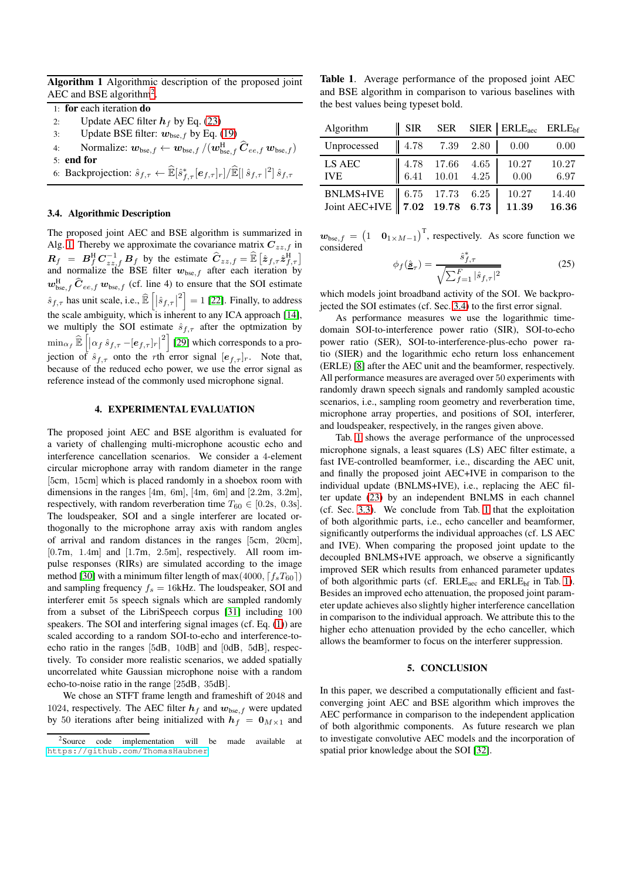<span id="page-3-1"></span>Algorithm 1 Algorithmic description of the proposed joint AEC and BSE algorithm<sup>[2](#page-3-0)</sup>.

- 1: for each iteration do
- 2: Update AEC filter  $h_f$  by Eq. [\(23\)](#page-2-8)
- 3: Update BSE filter:  $w_{\text{bse},f}$  by Eq. [\(19\)](#page-2-5)
- 4: Normalize:  $\boldsymbol{w}_{\text{bse},f} \leftarrow \boldsymbol{w}_{\text{bse},f} / (\boldsymbol{w}_{\text{bse},f}^{\text{H}} \, \widehat{\boldsymbol{C}}_{ee,f} \, \boldsymbol{w}_{\text{bse},f})$
- 5: end for
- 6: Backprojection:  $\hat{s}_{f,\tau} \leftarrow \widehat{\mathbb{E}}[\hat{s}_{f,\tau}^*[\boldsymbol{e}_{f,\tau}]_r]/\widehat{\mathbb{E}}[|\hat{s}_{f,\tau}|^2]\hat{s}_{f,\tau}$

### <span id="page-3-2"></span>3.4. Algorithmic Description

The proposed joint AEC and BSE algorithm is summarized in Alg. [1.](#page-3-1) Thereby we approximate the covariance matrix  $C_{zz,f}$  in  $\mathbf{R}_f = \mathbf{B}_f^{\mathrm{H}} \mathbf{C}_{zz,f}^{-1} \mathbf{B}_f$  by the estimate  $\hat{\mathbf{C}}_{zz,f} = \hat{\mathbb{E}} \left[ \hat{z}_{f,\tau} \hat{z}_{f,\tau}^{\mathrm{H}} \right]$ and normalize the BSE filter  $w_{\text{bse},f}$  after each iteration by  $w_{\text{bse},f}^{\text{H}}$   $\hat{C}_{ee,f}$   $w_{\text{bse},f}$  (cf. line 4) to ensure that the SOI estimate  $\hat{s}_{f,\tau}$  has unit scale, i.e.,  $\widehat{\mathbb{E}}\left[\left|\hat{s}_{f,\tau}\right|^2\right] = 1$  [\[22\]](#page-4-16). Finally, to address the scale ambiguity, which is inherent to any ICA approach [\[14\]](#page-4-10), we multiply the SOI estimate  $\hat{s}_{f,\tau}$  after the optmization by  $\min_{\alpha_f} \widehat{\mathbb{E}} \left[ \left| \alpha_f \, \hat{s}_{f,\tau} - [e_{f,\tau}]_r \right|^2 \right]$  [\[29\]](#page-4-23) which corresponds to a projection of  $\hat{s}_{f,\tau}$  onto the rth error signal  $[e_{f,\tau}]_r$ . Note that, because of the reduced echo power, we use the error signal as reference instead of the commonly used microphone signal.

### 4. EXPERIMENTAL EVALUATION

The proposed joint AEC and BSE algorithm is evaluated for a variety of challenging multi-microphone acoustic echo and interference cancellation scenarios. We consider a 4-element circular microphone array with random diameter in the range [5cm, 15cm] which is placed randomly in a shoebox room with dimensions in the ranges [4m, 6m], [4m, 6m] and [2.2m, 3.2m], respectively, with random reverberation time  $T_{60} \in [0.2$ s, 0.3s]. The loudspeaker, SOI and a single interferer are located orthogonally to the microphone array axis with random angles of arrival and random distances in the ranges [5cm, 20cm], [0.7m, 1.4m] and [1.7m, 2.5m], respectively. All room impulse responses (RIRs) are simulated according to the image method [\[30\]](#page-4-24) with a minimum filter length of max $(4000, \lceil f_s T_{60} \rceil)$ and sampling frequency  $f_s = 16kHz$ . The loudspeaker, SOI and interferer emit 5s speech signals which are sampled randomly from a subset of the LibriSpeech corpus [\[31\]](#page-4-25) including 100 speakers. The SOI and interfering signal images (cf. Eq. [\(1\)](#page-1-7)) are scaled according to a random SOI-to-echo and interference-toecho ratio in the ranges [5dB, 10dB] and [0dB, 5dB], respectively. To consider more realistic scenarios, we added spatially uncorrelated white Gaussian microphone noise with a random echo-to-noise ratio in the range [25dB, 35dB].

We chose an STFT frame length and frameshift of 2048 and 1024, respectively. The AEC filter  $h_f$  and  $w_{\text{bse},f}$  were updated by 50 iterations after being initialized with  $h_f = 0_{M \times 1}$  and

<span id="page-3-3"></span>Table 1. Average performance of the proposed joint AEC and BSE algorithm in comparison to various baselines with the best values being typeset bold.

| Algorithm                                                  | <b>SIR</b> |                                                                                            | SER SIER ERLE <sub>aec</sub> ERLE <sub>bf</sub> |                |
|------------------------------------------------------------|------------|--------------------------------------------------------------------------------------------|-------------------------------------------------|----------------|
| Unprocessed                                                |            | $\begin{array}{ c c c c c c c c } \hline 4.78 & 7.39 & 2.80 \hline \end{array}$            | 0.00                                            | 0.00           |
| LS AEC<br><b>IVE</b>                                       |            | $\left[ \begin{array}{ccc} 4.78 & 17.66 & 4.65 \\ 6.41 & 10.01 & 4.25 \end{array} \right]$ | 10.27<br>0.00                                   | 10.27<br>6.97  |
| BNLMS+IVE 6.75 17.73 6.25<br>Joint AEC+IVE 7.02 19.78 6.73 |            |                                                                                            | 10.27<br>11.39                                  | 14.40<br>16.36 |

 $\mathbf{w}_{\text{bse},f} = \begin{pmatrix} 1 & \mathbf{0}_{1 \times M-1} \end{pmatrix}^T$ , respectively. As score function we considered ∗

$$
\phi_f(\hat{\underline{\mathbf{s}}}_{\tau}) = \frac{\hat{s}_{f,\tau}^*}{\sqrt{\sum_{f=1}^F |\hat{s}_{f,\tau}|^2}} \tag{25}
$$

which models joint broadband activity of the SOI. We backprojected the SOI estimates (cf. Sec. [3.4\)](#page-3-2) to the first error signal.

As performance measures we use the logarithmic timedomain SOI-to-interference power ratio (SIR), SOI-to-echo power ratio (SER), SOI-to-interference-plus-echo power ratio (SIER) and the logarithmic echo return loss enhancement (ERLE) [\[8\]](#page-4-4) after the AEC unit and the beamformer, respectively. All performance measures are averaged over 50 experiments with randomly drawn speech signals and randomly sampled acoustic scenarios, i.e., sampling room geometry and reverberation time, microphone array properties, and positions of SOI, interferer, and loudspeaker, respectively, in the ranges given above.

Tab. [1](#page-3-3) shows the average performance of the unprocessed microphone signals, a least squares (LS) AEC filter estimate, a fast IVE-controlled beamformer, i.e., discarding the AEC unit, and finally the proposed joint AEC+IVE in comparison to the individual update (BNLMS+IVE), i.e., replacing the AEC filter update [\(23\)](#page-2-8) by an independent BNLMS in each channel (cf. Sec. [3.3\)](#page-2-11). We conclude from Tab. [1](#page-3-3) that the exploitation of both algorithmic parts, i.e., echo canceller and beamformer, significantly outperforms the individual approaches (cf. LS AEC and IVE). When comparing the proposed joint update to the decoupled BNLMS+IVE approach, we observe a significantly improved SER which results from enhanced parameter updates of both algorithmic parts (cf.  $ERLE<sub>acc</sub>$  and  $ERLE<sub>bf</sub>$  in Tab. [1\)](#page-3-3). Besides an improved echo attenuation, the proposed joint parameter update achieves also slightly higher interference cancellation in comparison to the individual approach. We attribute this to the higher echo attenuation provided by the echo canceller, which allows the beamformer to focus on the interferer suppression.

#### 5. CONCLUSION

In this paper, we described a computationally efficient and fastconverging joint AEC and BSE algorithm which improves the AEC performance in comparison to the independent application of both algorithmic components. As future research we plan to investigate convolutive AEC models and the incorporation of spatial prior knowledge about the SOI [\[32\]](#page-4-26).

<span id="page-3-0"></span><sup>2</sup>Source code implementation will be made available at <https://github.com/ThomasHaubner>